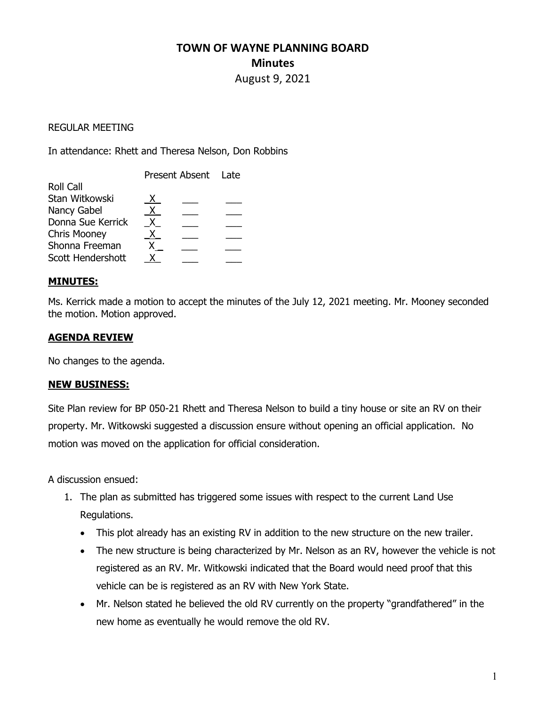# TOWN OF WAYNE PLANNING BOARD **Minutes** August 9, 2021

#### REGULAR MEETING

In attendance: Rhett and Theresa Nelson, Don Robbins

| x. |                     |
|----|---------------------|
| X. |                     |
|    |                     |
| X. |                     |
|    |                     |
|    |                     |
|    | Present Absent Late |

## MINUTES:

Ms. Kerrick made a motion to accept the minutes of the July 12, 2021 meeting. Mr. Mooney seconded the motion. Motion approved.

## AGENDA REVIEW

No changes to the agenda.

#### NEW BUSINESS:

Site Plan review for BP 050-21 Rhett and Theresa Nelson to build a tiny house or site an RV on their property. Mr. Witkowski suggested a discussion ensure without opening an official application. No motion was moved on the application for official consideration.

A discussion ensued:

- 1. The plan as submitted has triggered some issues with respect to the current Land Use Regulations.
	- This plot already has an existing RV in addition to the new structure on the new trailer.
	- The new structure is being characterized by Mr. Nelson as an RV, however the vehicle is not registered as an RV. Mr. Witkowski indicated that the Board would need proof that this vehicle can be is registered as an RV with New York State.
	- Mr. Nelson stated he believed the old RV currently on the property "grandfathered" in the new home as eventually he would remove the old RV.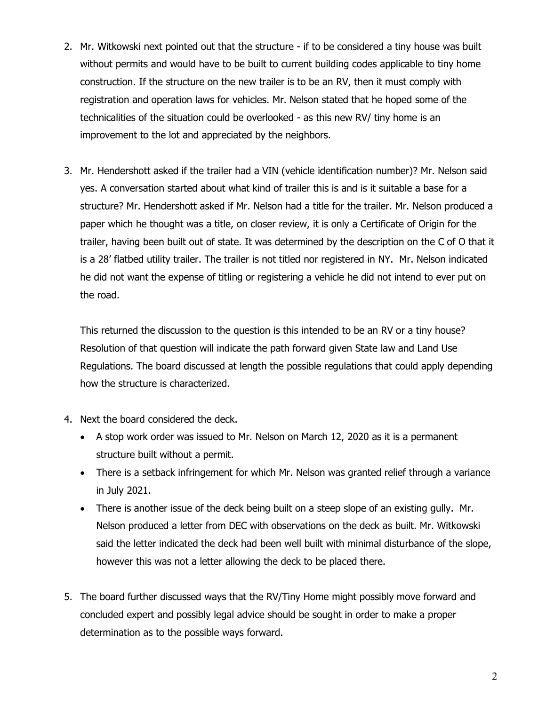- 2. Mr. Witkowski next pointed out that the structure if to be considered a tiny house was built without permits and would have to be built to current building codes applicable to tiny home construction. If the structure on the new trailer is to be an RV, then it must comply with registration and operation laws for vehicles. Mr. Nelson stated that he hoped some of the technicalities of the situation could be overlooked - as this new RV/ tiny home is an improvement to the lot and appreciated by the neighbors.
- 3. Mr. Hendershott asked if the trailer had a VIN (vehicle identification number)? Mr. Nelson said yes. A conversation started about what kind of trailer this is and is it suitable a base for a structure? Mr. Hendershott asked if Mr. Nelson had a title for the trailer. Mr. Nelson produced a paper which he thought was a title, on closer review, it is only a Certificate of Origin for the trailer, having been built out of state. It was determined by the description on the C of O that it is a 28' flatbed utility trailer. The trailer is not titled nor registered in NY. Mr. Nelson indicated he did not want the expense of titling or registering a vehicle he did not intend to ever put on the road.

This returned the discussion to the question is this intended to be an RV or a tiny house? Resolution of that question will indicate the path forward given State law and Land Use Regulations. The board discussed at length the possible regulations that could apply depending how the structure is characterized.

- 4. Next the board considered the deck.
	- A stop work order was issued to Mr. Nelson on March 12, 2020 as it is a permanent structure built without a permit.
	- There is a setback infringement for which Mr. Nelson was granted relief through a variance in July 2021.
	- There is another issue of the deck being built on a steep slope of an existing gully. Mr. Nelson produced a letter from DEC with observations on the deck as built. Mr. Witkowski said the letter indicated the deck had been well built with minimal disturbance of the slope, however this was not a letter allowing the deck to be placed there.
- 5. The board further discussed ways that the RV/Tiny Home might possibly move forward and concluded expert and possibly legal advice should be sought in order to make a proper determination as to the possible ways forward.